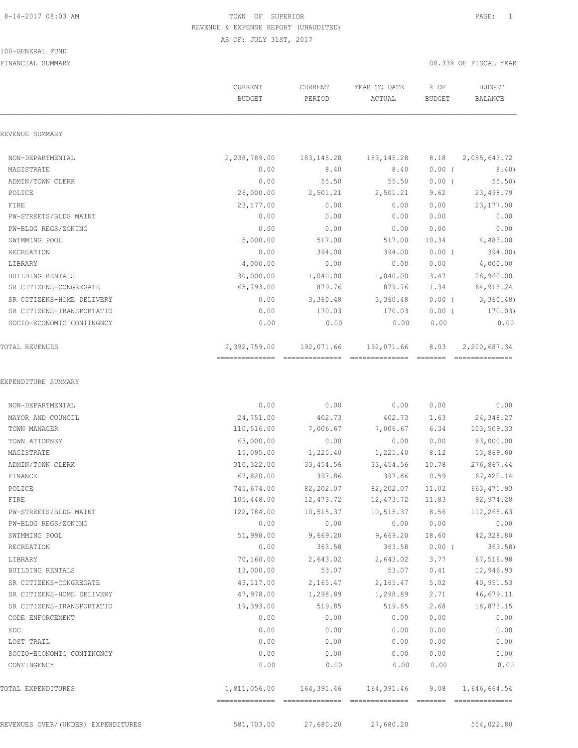## 100-GENERAL FUND

|                                    | CURRENT<br><b>BUDGET</b> | CURRENT<br>PERIOD | YEAR TO DATE<br>ACTUAL               | % OF<br><b>BUDGET</b> | <b>BUDGET</b><br>BALANCE       |
|------------------------------------|--------------------------|-------------------|--------------------------------------|-----------------------|--------------------------------|
| REVENUE SUMMARY                    |                          |                   |                                      |                       |                                |
| NON-DEPARTMENTAL                   | 2,238,789.00             | 183, 145. 28      | 183, 145. 28                         | 8.18                  | 2,055,643.72                   |
| MAGISTRATE                         | 0.00                     | 8.40              | 8.40                                 | $0.00$ (              | 8.40)                          |
| ADMIN/TOWN CLERK                   | 0.00                     | 55.50             | 55.50                                | $0.00$ (              | 55.50                          |
| POLICE                             | 26,000.00                | 2,501.21          | 2,501.21                             | 9.62                  | 23,498.79                      |
| FIRE                               | 23,177.00                | 0.00              | 0.00                                 | 0.00                  | 23, 177.00                     |
| PW-STREETS/BLDG MAINT              | 0.00                     | 0.00              | 0.00                                 | 0.00                  | 0.00                           |
| PW-BLDG REGS/ZONING                | 0.00                     | 0.00              | 0.00                                 | 0.00                  | 0.00                           |
| SWIMMING POOL                      | 5,000.00                 | 517.00            | 517.00                               | 10.34                 | 4,483.00                       |
| RECREATION                         | 0.00                     | 394.00            | 394.00                               | $0.00$ (              | 394.00)                        |
| LIBRARY                            | 4,000.00                 | 0.00              | 0.00                                 | 0.00                  | 4,000.00                       |
| <b>BUILDING RENTALS</b>            | 30,000.00                | 1,040.00          | 1,040.00                             | 3.47                  | 28,960.00                      |
| SR CITIZENS-CONGREGATE             | 65,793.00                | 879.76            | 879.76                               | 1.34                  | 64, 913.24                     |
| SR CITIZENS-HOME DELIVERY          | 0.00                     | 3,360.48          | 3,360.48                             | $0.00$ (              | 3,360.48                       |
| SR CITIZENS-TRANSPORTATIO          | 0.00                     | 170.03            | 170.03                               | $0.00$ (              | 170.03)                        |
| SOCIO-ECONOMIC CONTINGNCY          | 0.00                     | 0.00              | 0.00                                 | 0.00                  | 0.00                           |
| <b>TOTAL REVENUES</b>              | 2,392,759.00             | 192,071.66        | 192,071.66                           | 8.03                  | 2,200,687.34<br>-------------- |
| EXPENDITURE SUMMARY                |                          |                   |                                      |                       |                                |
| NON-DEPARTMENTAL                   | 0.00                     | 0.00              | 0.00                                 | 0.00                  | 0.00                           |
| MAYOR AND COUNCIL                  | 24,751.00                | 402.73            | 402.73                               | 1.63                  | 24,348.27                      |
| TOWN MANAGER                       | 110,516.00               | 7,006.67          | 7,006.67                             | 6.34                  | 103,509.33                     |
| TOWN ATTORNEY                      | 63,000.00                | 0.00              | 0.00                                 | 0.00                  | 63,000.00                      |
| MAGISTRATE                         | 15,095.00                | 1,225.40          | 1,225.40                             | 8.12                  | 13,869.60                      |
| ADMIN/TOWN CLERK                   | 310,322.00               | 33,454.56         | 33, 454.56                           | 10.78                 | 276,867.44                     |
| FINANCE                            | 67,820.00                | 397.86            | 397.86                               | 0.59                  | 67, 422.14                     |
| POLICE                             | 745,674.00               | 82,202.07         | 82,202.07                            | 11.02                 | 663, 471.93                    |
| FIRE                               | 105,448.00               | 12,473.72         | 12, 473.72                           | 11.83                 | 92,974.28                      |
| PW-STREETS/BLDG MAINT              | 122,784.00               | 10,515.37         | 10, 515.37                           | 8.56                  | 112,268.63                     |
| PW-BLDG REGS/ZONING                | 0.00                     | 0.00              | 0.00                                 | 0.00                  | 0.00                           |
| SWIMMING POOL                      | 51,998.00                | 9,669.20          | 9,669.20                             | 18.60                 | 42,328.80                      |
| RECREATION                         | 0.00                     | 363.58            | 363.58                               | $0.00$ (              | 363.58)                        |
| LIBRARY                            | 70,160.00                | 2,643.02          | 2,643.02                             | 3.77                  | 67,516.98                      |
| BUILDING RENTALS                   | 13,000.00                | 53.07             | 53.07                                | 0.41                  | 12,946.93                      |
| SR CITIZENS-CONGREGATE             | 43,117.00                | 2,165.47          | 2,165.47                             | 5.02                  | 40,951.53                      |
| SR CITIZENS-HOME DELIVERY          | 47,978.00                | 1,298.89          | 1,298.89                             | 2.71                  | 46,679.11                      |
| SR CITIZENS-TRANSPORTATIO          | 19,393.00                | 519.85            | 519.85                               | 2.68                  | 18,873.15                      |
| CODE ENFORCEMENT                   | 0.00                     | 0.00              | 0.00                                 | 0.00                  | 0.00                           |
| EDC                                | 0.00                     | 0.00              | 0.00                                 | 0.00                  | 0.00                           |
| LOST TRAIL                         | 0.00                     | 0.00              | 0.00                                 | 0.00                  | 0.00                           |
| SOCIO-ECONOMIC CONTINGNCY          | 0.00                     | 0.00              | 0.00                                 | 0.00                  | 0.00                           |
| CONTINGENCY                        | 0.00                     | 0.00              | 0.00                                 | 0.00                  | 0.00                           |
| TOTAL EXPENDITURES                 |                          |                   | 1,811,056.00  164,391.46  164,391.46 | 9.08                  | 1,646,664.54                   |
| REVENUES OVER/(UNDER) EXPENDITURES | 581,703.00               | 27,680.20         | 27,680.20                            |                       | 554,022.80                     |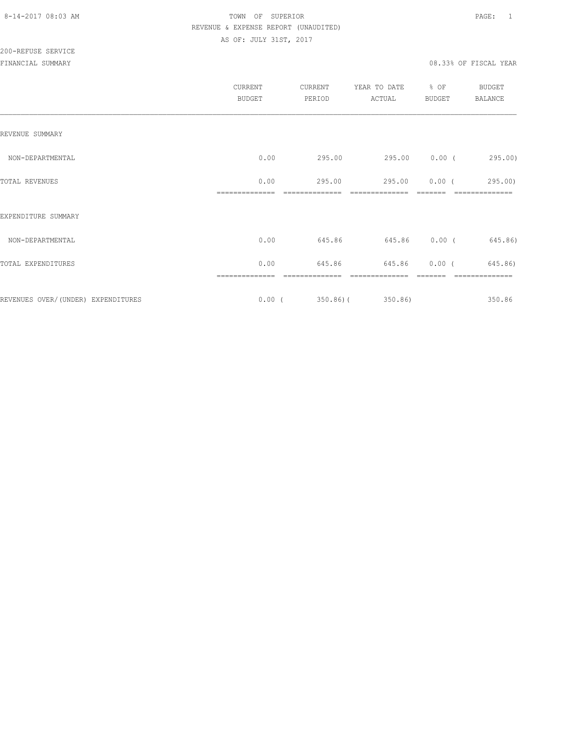# 200-REFUSE SERVICE

|      |        | ACTUAL           | <b>BUDGET</b>              | BALANCE                                         |
|------|--------|------------------|----------------------------|-------------------------------------------------|
|      |        |                  |                            |                                                 |
| 0.00 |        |                  |                            |                                                 |
| 0.00 | 295.00 |                  | $0.00$ (                   | 295.00)                                         |
|      |        |                  |                            |                                                 |
| 0.00 |        |                  |                            | 645.86)                                         |
| 0.00 | 645.86 | 645.86           | $0.00$ (                   | 645.86)                                         |
|      |        |                  |                            | 350.86                                          |
|      |        | 295.00<br>645.86 | $0.00$ ( 350.86) ( 350.86) | 295.00 0.00 (295.00)<br>295.00<br>645.86 0.00 ( |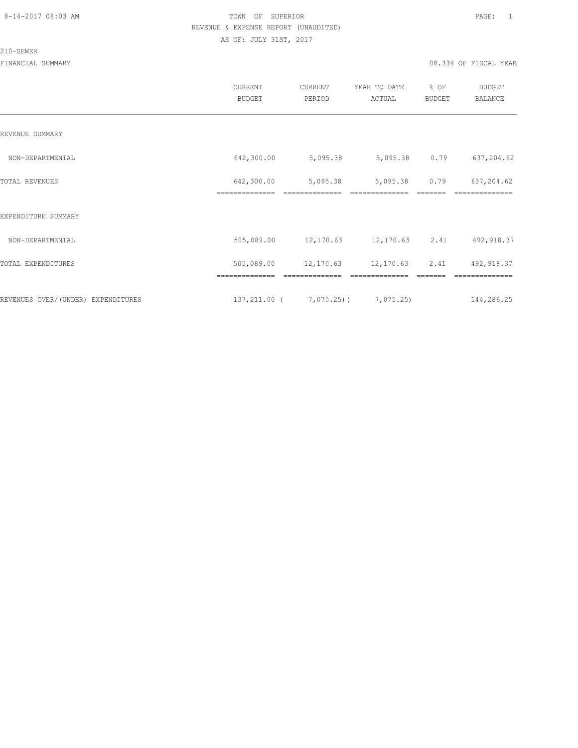### 210-SEWER

|                                    | CURRENT<br><b>BUDGET</b>     | CURRENT<br>PERIOD                                   | YEAR TO DATE<br>ACTUAL     | % OF<br><b>BUDGET</b> | <b>BUDGET</b><br>BALANCE     |
|------------------------------------|------------------------------|-----------------------------------------------------|----------------------------|-----------------------|------------------------------|
| REVENUE SUMMARY                    |                              |                                                     |                            |                       |                              |
| NON-DEPARTMENTAL                   | 642,300.00                   | 5,095.38                                            | 5,095.38                   | 0.79                  | 637,204.62                   |
| TOTAL REVENUES                     | 642,300.00<br>============== | 5,095.38                                            | 5,095.38<br>============== | 0.79                  | 637,204.62                   |
| EXPENDITURE SUMMARY                |                              |                                                     |                            |                       |                              |
| NON-DEPARTMENTAL                   | 505,089.00                   |                                                     | 12,170.63 12,170.63        | 2.41                  | 492,918.37                   |
| TOTAL EXPENDITURES                 | 505,089.00                   | 12,170.63                                           | 12,170.63                  | 2.41                  | 492,918.37                   |
| REVENUES OVER/(UNDER) EXPENDITURES | ==============               | --------------<br>$137, 211, 00$ ( $7, 075, 25$ ) ( | 7,075.25)                  |                       | --------------<br>144,286.25 |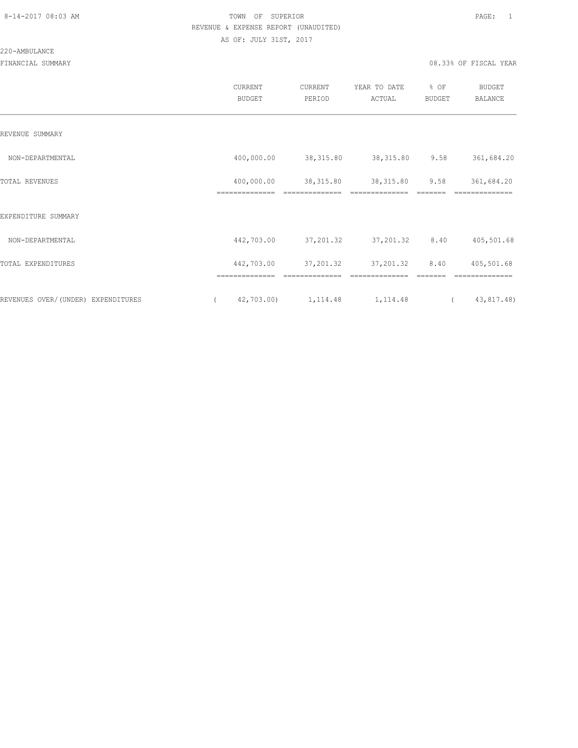### 220-AMBULANCE

|                                    | CURRENT<br><b>BUDGET</b>     | CURRENT<br>PERIOD | YEAR TO DATE<br>ACTUAL | % OF<br><b>BUDGET</b> | <b>BUDGET</b><br><b>BALANCE</b> |
|------------------------------------|------------------------------|-------------------|------------------------|-----------------------|---------------------------------|
| REVENUE SUMMARY                    |                              |                   |                        |                       |                                 |
| NON-DEPARTMENTAL                   | 400,000.00                   | 38, 315.80        | 38, 315.80             | 9.58                  | 361,684.20                      |
| TOTAL REVENUES                     | 400,000.00<br>-------------- | 38,315.80         | 38, 315.80             | 9.58                  | 361,684.20                      |
| EXPENDITURE SUMMARY                |                              |                   |                        |                       |                                 |
| NON-DEPARTMENTAL                   | 442,703.00                   | 37,201.32         | 37,201.32              | 8.40                  | 405,501.68                      |
| TOTAL EXPENDITURES                 | 442,703.00                   | 37,201.32         | 37, 201.32             | 8.40                  | 405,501.68                      |
|                                    | ==============               | ==============    | ==============         |                       | ==============                  |
| REVENUES OVER/(UNDER) EXPENDITURES | 42,703.00)                   | 1, 114.48         | 1, 114.48              | $\left($              | 43,817.48)                      |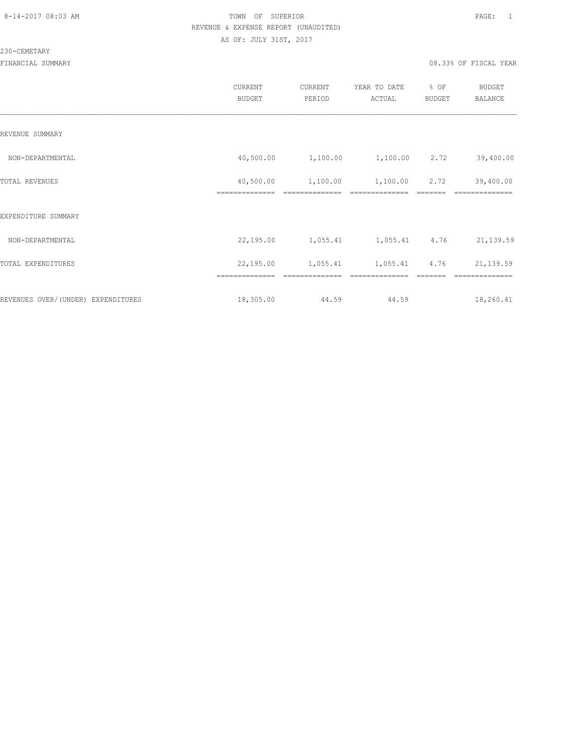## 230-CEMETARY

|                                    | <b>CURRENT</b><br><b>BUDGET</b> | CURRENT<br>PERIOD | YEAR TO DATE<br>ACTUAL | % OF<br><b>BUDGET</b> | <b>BUDGET</b><br>BALANCE |
|------------------------------------|---------------------------------|-------------------|------------------------|-----------------------|--------------------------|
| REVENUE SUMMARY                    |                                 |                   |                        |                       |                          |
| NON-DEPARTMENTAL                   | 40,500.00                       | 1,100.00          | 1,100.00               | 2.72                  | 39,400.00                |
| TOTAL REVENUES                     | 40,500.00                       | 1,100.00          | 1,100.00               | 2.72                  | 39,400.00                |
| EXPENDITURE SUMMARY                |                                 |                   |                        |                       |                          |
| NON-DEPARTMENTAL                   | 22,195.00                       | 1,055.41          | 1,055.41               | 4.76                  | 21, 139.59               |
| TOTAL EXPENDITURES                 | 22,195.00                       | 1,055.41          | 1,055.41               | 4.76                  | 21,139.59                |
| REVENUES OVER/(UNDER) EXPENDITURES | ==============<br>18,305.00     | 44.59             | 44.59                  |                       | 18,260.41                |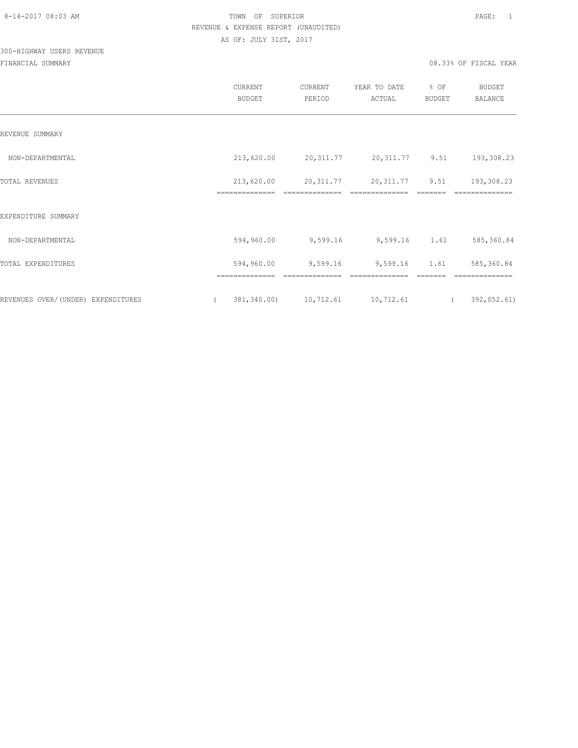# 300-HIGHWAY USERS REVENUE

|                                    | CURRENT<br>BUDGET                         | CURRENT<br>PERIOD           | YEAR TO DATE<br>ACTUAL      | % OF<br>BUDGET        | <b>BUDGET</b><br>BALANCE      |
|------------------------------------|-------------------------------------------|-----------------------------|-----------------------------|-----------------------|-------------------------------|
| REVENUE SUMMARY                    |                                           |                             |                             |                       |                               |
| NON-DEPARTMENTAL                   | 213,620.00                                | 20,311.77                   | 20,311.77 9.51              |                       | 193,308.23                    |
| TOTAL REVENUES                     | 213,620.00<br>==============              | 20,311.77                   | 20,311.77<br>============== | 9.51                  | 193,308.23<br>==============  |
| EXPENDITURE SUMMARY                |                                           |                             |                             |                       |                               |
| NON-DEPARTMENTAL                   | 594,960.00                                | 9,599.16                    | 9,599.16 1.61               |                       | 585,360.84                    |
| TOTAL EXPENDITURES                 | 594,960.00                                | 9,599.16                    | 9,599.16                    | 1.61                  | 585,360.84                    |
| REVENUES OVER/(UNDER) EXPENDITURES | ==============<br>381,340.00)<br>$\left($ | ==============<br>10,712.61 | ==============<br>10,712.61 | -------<br>$\sqrt{2}$ | --------------<br>392,052.61) |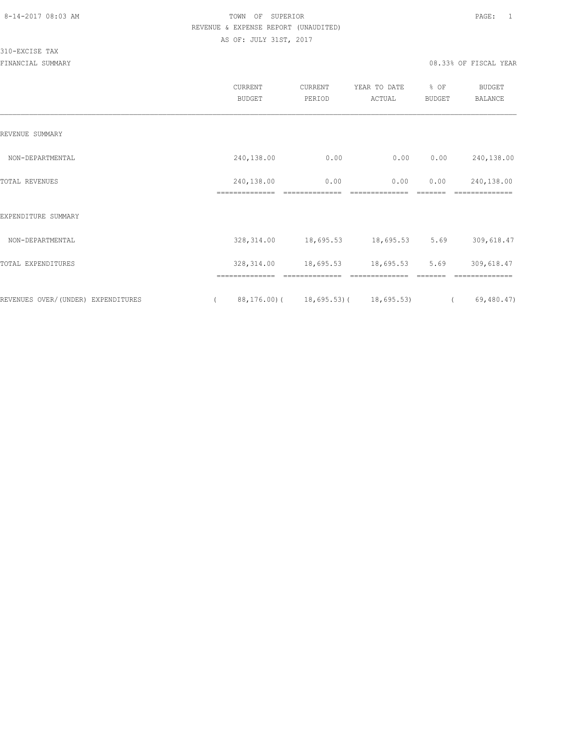310-EXCISE TAX

|                                    | <b>CURRENT</b><br><b>BUDGET</b> | CURRENT<br>PERIOD                       | YEAR TO DATE<br>ACTUAL | % OF<br><b>BUDGET</b> | <b>BUDGET</b><br>BALANCE |  |
|------------------------------------|---------------------------------|-----------------------------------------|------------------------|-----------------------|--------------------------|--|
| REVENUE SUMMARY                    |                                 |                                         |                        |                       |                          |  |
| NON-DEPARTMENTAL                   | 240,138.00                      | 0.00                                    | 0.00                   | 0.00                  | 240,138.00               |  |
| TOTAL REVENUES                     | 240,138.00<br>-------------     | 0.00                                    | 0.00                   | 0.00                  | 240,138.00               |  |
| EXPENDITURE SUMMARY                |                                 |                                         |                        |                       |                          |  |
| NON-DEPARTMENTAL                   | 328, 314.00                     | 18,695.53                               | 18,695.53              | 5.69                  | 309,618.47               |  |
| TOTAL EXPENDITURES                 | 328, 314.00                     | 18,695.53                               | 18,695.53              | 5.69                  | 309,618.47               |  |
|                                    | ==============                  |                                         |                        |                       |                          |  |
| REVENUES OVER/(UNDER) EXPENDITURES |                                 | 88, 176.00) ( 18, 695.53) ( 18, 695.53) |                        |                       | 69,480.47)               |  |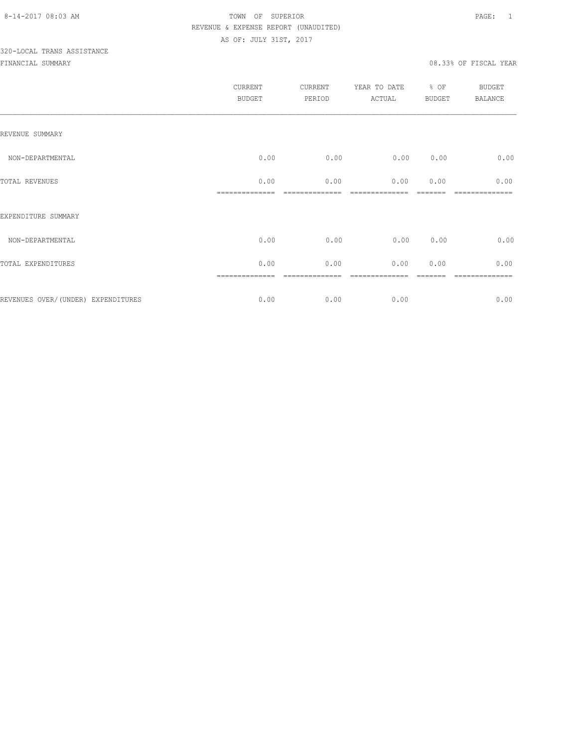|                                    | <b>CURRENT</b><br>BUDGET | CURRENT<br>PERIOD | YEAR TO DATE<br>ACTUAL | % OF<br><b>BUDGET</b> | <b>BUDGET</b><br>BALANCE |
|------------------------------------|--------------------------|-------------------|------------------------|-----------------------|--------------------------|
| REVENUE SUMMARY                    |                          |                   |                        |                       |                          |
| NON-DEPARTMENTAL                   | 0.00                     | 0.00              | 0.00                   | 0.00                  | 0.00                     |
| TOTAL REVENUES                     | 0.00                     | 0.00              | 0.00                   | 0.00                  | 0.00                     |
| EXPENDITURE SUMMARY                |                          |                   |                        |                       |                          |
| NON-DEPARTMENTAL                   | 0.00                     | 0.00              | 0.00                   | 0.00                  | 0.00                     |
| TOTAL EXPENDITURES                 | 0.00                     | 0.00              | 0.00                   | 0.00                  | 0.00                     |
| REVENUES OVER/(UNDER) EXPENDITURES | 0.00                     | 0.00              | 0.00                   |                       | 0.00                     |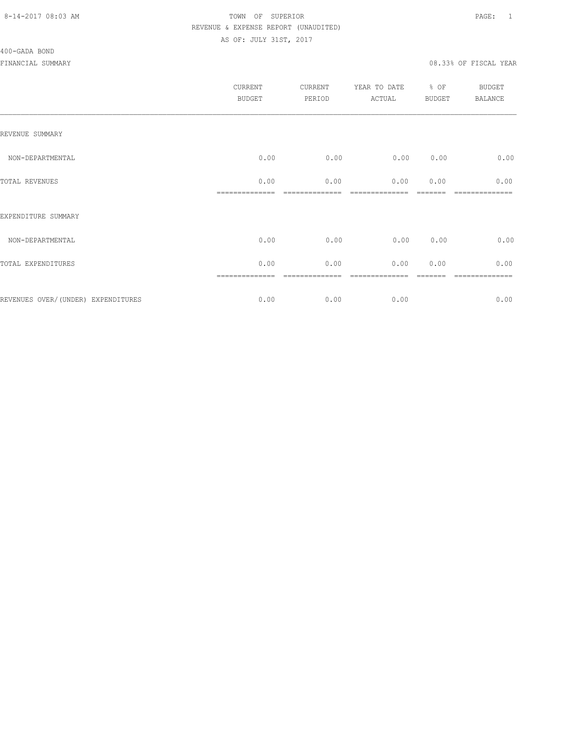## 400-GADA BOND

|                                    | <b>CURRENT</b><br><b>BUDGET</b> | CURRENT<br>PERIOD | YEAR TO DATE<br>ACTUAL | % OF<br><b>BUDGET</b> | BUDGET<br><b>BALANCE</b> |
|------------------------------------|---------------------------------|-------------------|------------------------|-----------------------|--------------------------|
| REVENUE SUMMARY                    |                                 |                   |                        |                       |                          |
| NON-DEPARTMENTAL                   | 0.00                            | 0.00              | 0.00                   | 0.00                  | 0.00                     |
| TOTAL REVENUES                     | 0.00                            | 0.00              | 0.00                   | 0.00                  | 0.00                     |
| EXPENDITURE SUMMARY                |                                 |                   |                        |                       |                          |
| NON-DEPARTMENTAL                   | 0.00                            | 0.00              | 0.00                   | 0.00                  | 0.00                     |
| TOTAL EXPENDITURES                 | 0.00                            | 0.00              | 0.00                   | 0.00                  | 0.00                     |
| REVENUES OVER/(UNDER) EXPENDITURES | 0.00                            | 0.00              | 0.00                   |                       | =======<br>0.00          |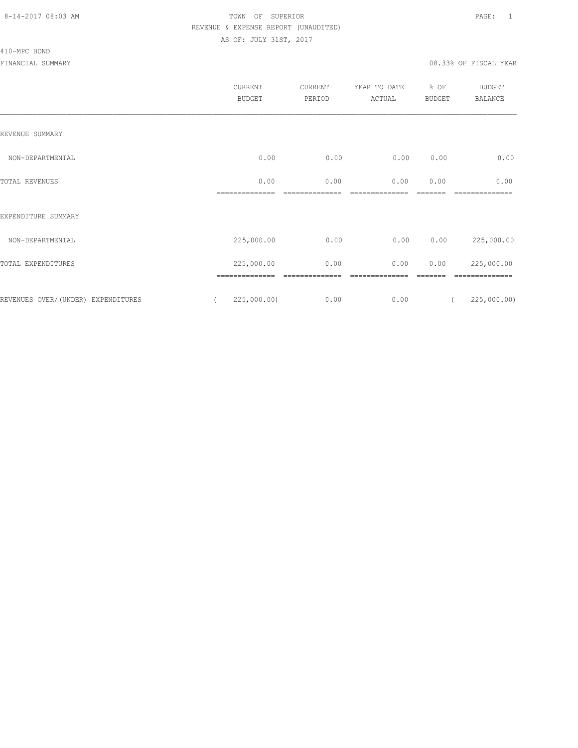## 410-MPC BOND

|                                    | CURRENT<br><b>BUDGET</b> | CURRENT<br>PERIOD | YEAR TO DATE<br>ACTUAL | % OF<br><b>BUDGET</b> | <b>BUDGET</b><br><b>BALANCE</b> |
|------------------------------------|--------------------------|-------------------|------------------------|-----------------------|---------------------------------|
| REVENUE SUMMARY                    |                          |                   |                        |                       |                                 |
| NON-DEPARTMENTAL                   | 0.00                     | 0.00              | 0.00                   | 0.00                  | 0.00                            |
| TOTAL REVENUES                     | 0.00                     | 0.00              | 0.00                   | 0.00                  | 0.00                            |
| EXPENDITURE SUMMARY                |                          |                   |                        |                       |                                 |
| NON-DEPARTMENTAL                   | 225,000.00               | 0.00              | 0.00                   | 0.00                  | 225,000.00                      |
| TOTAL EXPENDITURES                 | 225,000.00               | 0.00              | 0.00                   | 0.00                  | 225,000.00                      |
| REVENUES OVER/(UNDER) EXPENDITURES | 225,000.00)              | 0.00              | 0.00                   |                       | 225,000.00                      |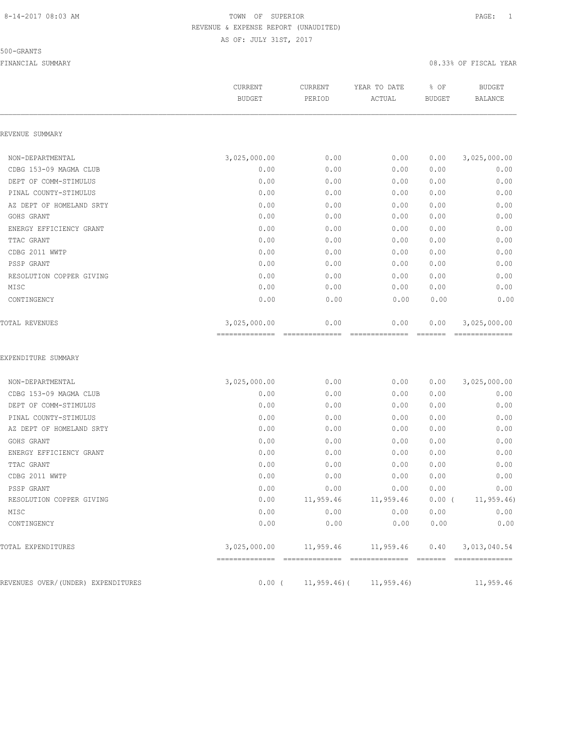### 500-GRANTS

|                                    | CURRENT<br><b>BUDGET</b>       | CURRENT<br>PERIOD      | YEAR TO DATE<br>ACTUAL               | % OF<br><b>BUDGET</b> | <b>BUDGET</b><br><b>BALANCE</b> |
|------------------------------------|--------------------------------|------------------------|--------------------------------------|-----------------------|---------------------------------|
| REVENUE SUMMARY                    |                                |                        |                                      |                       |                                 |
| NON-DEPARTMENTAL                   | 3,025,000.00                   | 0.00                   | 0.00                                 | 0.00                  | 3,025,000.00                    |
| CDBG 153-09 MAGMA CLUB             | 0.00                           | 0.00                   | 0.00                                 | 0.00                  | 0.00                            |
| DEPT OF COMM-STIMULUS              | 0.00                           | 0.00                   | 0.00                                 | 0.00                  | 0.00                            |
| PINAL COUNTY-STIMULUS              | 0.00                           | 0.00                   | 0.00                                 | 0.00                  | 0.00                            |
| AZ DEPT OF HOMELAND SRTY           | 0.00                           | 0.00                   | 0.00                                 | 0.00                  | 0.00                            |
| GOHS GRANT                         | 0.00                           | 0.00                   | 0.00                                 | 0.00                  | 0.00                            |
| ENERGY EFFICIENCY GRANT            | 0.00                           | 0.00                   | 0.00                                 | 0.00                  | 0.00                            |
| TTAC GRANT                         | 0.00                           | 0.00                   | 0.00                                 | 0.00                  | 0.00                            |
| CDBG 2011 WWTP                     | 0.00                           | 0.00                   | 0.00                                 | 0.00                  | 0.00                            |
| PSSP GRANT                         | 0.00                           | 0.00                   | 0.00                                 | 0.00                  | 0.00                            |
| RESOLUTION COPPER GIVING           | 0.00                           | 0.00                   | 0.00                                 | 0.00                  | 0.00                            |
| MISC                               | 0.00                           | 0.00                   | 0.00                                 | 0.00                  | 0.00                            |
| CONTINGENCY                        | 0.00                           | 0.00                   | 0.00                                 | 0.00                  | 0.00                            |
| TOTAL REVENUES                     | 3,025,000.00<br>============== | 0.00<br>============== | 0.00<br>--------------               | 0.00<br>EEEEEE        | 3,025,000.00<br>--------------  |
| EXPENDITURE SUMMARY                |                                |                        |                                      |                       |                                 |
| NON-DEPARTMENTAL                   | 3,025,000.00                   | 0.00                   | 0.00                                 | 0.00                  | 3,025,000.00                    |
| CDBG 153-09 MAGMA CLUB             | 0.00                           | 0.00                   | 0.00                                 | 0.00                  | 0.00                            |
| DEPT OF COMM-STIMULUS              | 0.00                           | 0.00                   | 0.00                                 | 0.00                  | 0.00                            |
| PINAL COUNTY-STIMULUS              | 0.00                           | 0.00                   | 0.00                                 | 0.00                  | 0.00                            |
| AZ DEPT OF HOMELAND SRTY           | 0.00                           | 0.00                   | 0.00                                 | 0.00                  | 0.00                            |
| GOHS GRANT                         | 0.00                           | 0.00                   | 0.00                                 | 0.00                  | 0.00                            |
| ENERGY EFFICIENCY GRANT            | 0.00                           | 0.00                   | 0.00                                 | 0.00                  | 0.00                            |
| TTAC GRANT                         | 0.00                           | 0.00                   | 0.00                                 | 0.00                  | 0.00                            |
| CDBG 2011 WWTP                     | 0.00                           | 0.00                   | 0.00                                 | 0.00                  | 0.00                            |
| PSSP GRANT                         | 0.00                           | 0.00                   | 0.00                                 | 0.00                  | 0.00                            |
| RESOLUTION COPPER GIVING           | 0.00                           | 11,959.46              | 11,959.46                            | $0.00$ (              | 11, 959.46                      |
| MISC                               | 0.00                           | 0.00                   | 0.00                                 | 0.00                  | 0.00                            |
| CONTINGENCY                        | 0.00                           | 0.00                   | 0.00                                 | 0.00                  | 0.00                            |
| TOTAL EXPENDITURES                 |                                |                        | 3,025,000.00   11,959.46   11,959.46 |                       | $0.40$ 3, 013, 040.54           |
|                                    |                                |                        |                                      |                       |                                 |
| REVENUES OVER/(UNDER) EXPENDITURES | $0.00$ (                       | $11,959.46$ (          | 11, 959.46                           |                       | 11,959.46                       |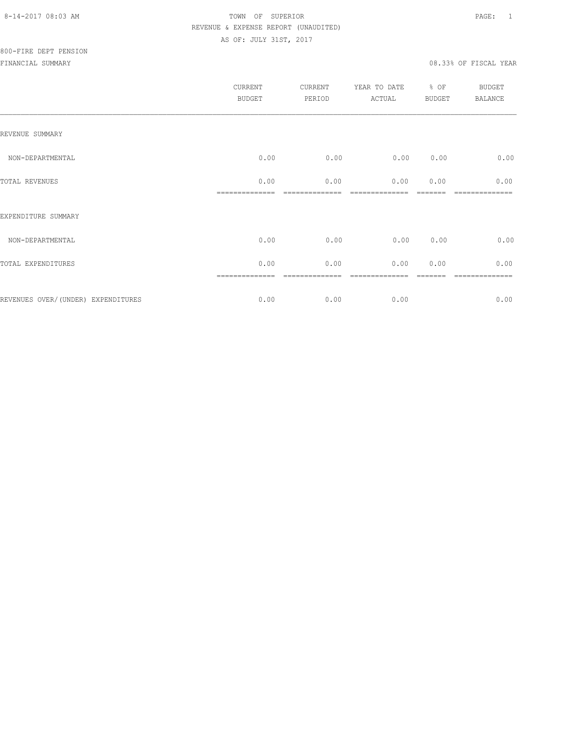| CURRENT<br><b>BUDGET</b> | CURRENT<br>PERIOD | YEAR TO DATE<br>ACTUAL | % OF<br><b>BUDGET</b> | <b>BUDGET</b><br><b>BALANCE</b> |
|--------------------------|-------------------|------------------------|-----------------------|---------------------------------|
|                          |                   |                        |                       |                                 |
| 0.00                     | 0.00              | 0.00                   | 0.00                  | 0.00                            |
| 0.00                     | 0.00              | 0.00                   | 0.00                  | 0.00                            |
|                          |                   |                        |                       |                                 |
| 0.00                     | 0.00              | 0.00                   | 0.00                  | 0.00                            |
| 0.00                     | 0.00              | 0.00                   | 0.00                  | 0.00                            |
| 0.00                     | 0.00              | 0.00                   |                       | 0.00                            |
|                          |                   |                        |                       |                                 |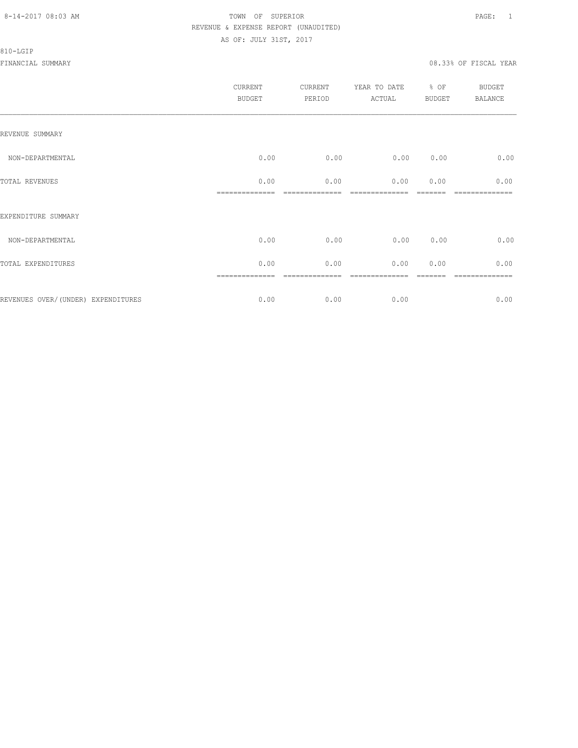### 810-LGIP

|                                     | <b>CURRENT</b><br><b>BUDGET</b> | CURRENT<br>PERIOD | YEAR TO DATE<br>ACTUAL | % OF<br><b>BUDGET</b> | <b>BUDGET</b><br><b>BALANCE</b> |
|-------------------------------------|---------------------------------|-------------------|------------------------|-----------------------|---------------------------------|
| REVENUE SUMMARY                     |                                 |                   |                        |                       |                                 |
| NON-DEPARTMENTAL                    | 0.00                            | 0.00              | 0.00                   | 0.00                  | 0.00                            |
| TOTAL REVENUES                      | 0.00                            | 0.00              | 0.00                   | 0.00                  | 0.00                            |
| EXPENDITURE SUMMARY                 |                                 |                   |                        |                       |                                 |
| NON-DEPARTMENTAL                    | 0.00                            | 0.00              | 0.00                   | 0.00                  | 0.00                            |
| TOTAL EXPENDITURES                  | 0.00                            | 0.00              | 0.00                   | 0.00                  | 0.00                            |
| REVENUES OVER/ (UNDER) EXPENDITURES | 0.00                            | 0.00              | 0.00                   |                       | ========<br>0.00                |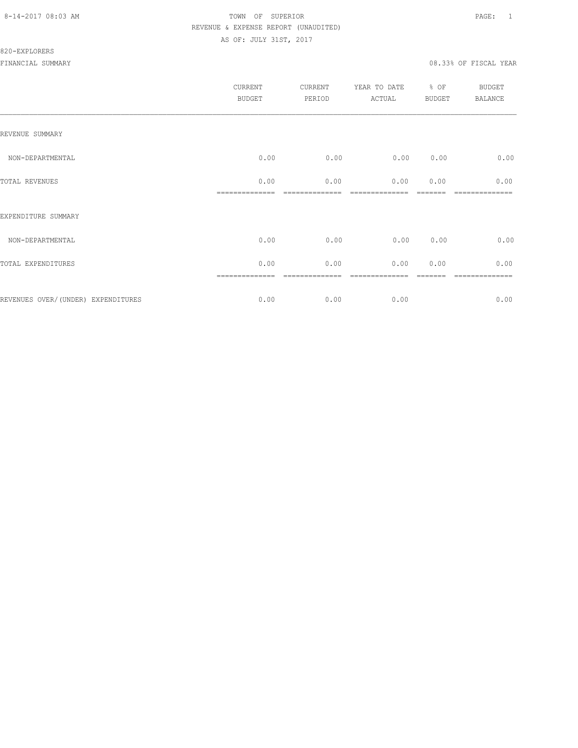## 820-EXPLORERS

|                                    | <b>CURRENT</b><br><b>BUDGET</b> | CURRENT<br>PERIOD | YEAR TO DATE<br>ACTUAL | % OF<br><b>BUDGET</b> | BUDGET<br><b>BALANCE</b> |
|------------------------------------|---------------------------------|-------------------|------------------------|-----------------------|--------------------------|
| REVENUE SUMMARY                    |                                 |                   |                        |                       |                          |
| NON-DEPARTMENTAL                   | 0.00                            | 0.00              | 0.00                   | 0.00                  | 0.00                     |
| TOTAL REVENUES                     | 0.00                            | 0.00              | 0.00                   | 0.00                  | 0.00                     |
| EXPENDITURE SUMMARY                |                                 |                   |                        |                       |                          |
| NON-DEPARTMENTAL                   | 0.00                            | 0.00              | 0.00                   | 0.00                  | 0.00                     |
| TOTAL EXPENDITURES                 | 0.00                            | 0.00              | 0.00                   | 0.00                  | 0.00                     |
| REVENUES OVER/(UNDER) EXPENDITURES | 0.00                            | 0.00              | 0.00                   |                       | =======<br>0.00          |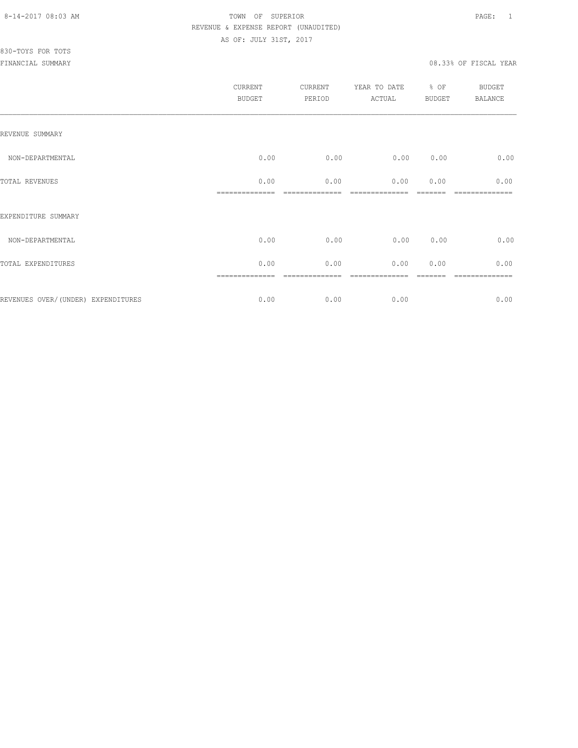| 0.00<br>0.00 | 0.00 |
|--------------|------|
| 0.00         | 0.00 |
|              |      |
| 0.00<br>0.00 | 0.00 |
| 0.00         | 0.00 |
|              | 0.00 |
|              |      |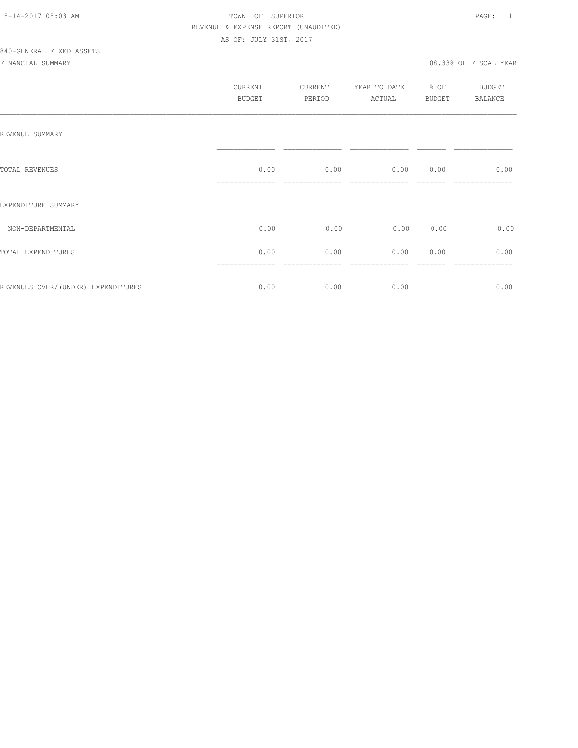|                                     | CURRENT<br>BUDGET | CURRENT<br>PERIOD | YEAR TO DATE<br>ACTUAL | % OF<br>BUDGET | BUDGET<br>BALANCE |
|-------------------------------------|-------------------|-------------------|------------------------|----------------|-------------------|
| REVENUE SUMMARY                     |                   |                   |                        |                |                   |
| TOTAL REVENUES                      | 0.00              | 0.00              | 0.00                   | 0.00           | 0.00              |
| EXPENDITURE SUMMARY                 |                   |                   |                        |                |                   |
| NON-DEPARTMENTAL                    | 0.00              | 0.00              | 0.00 0.00              |                | 0.00              |
| TOTAL EXPENDITURES                  | 0.00              | 0.00              | 0.00                   | 0.00           | 0.00              |
| REVENUES OVER/ (UNDER) EXPENDITURES | 0.00              | 0.00              | 0.00                   |                | 0.00              |